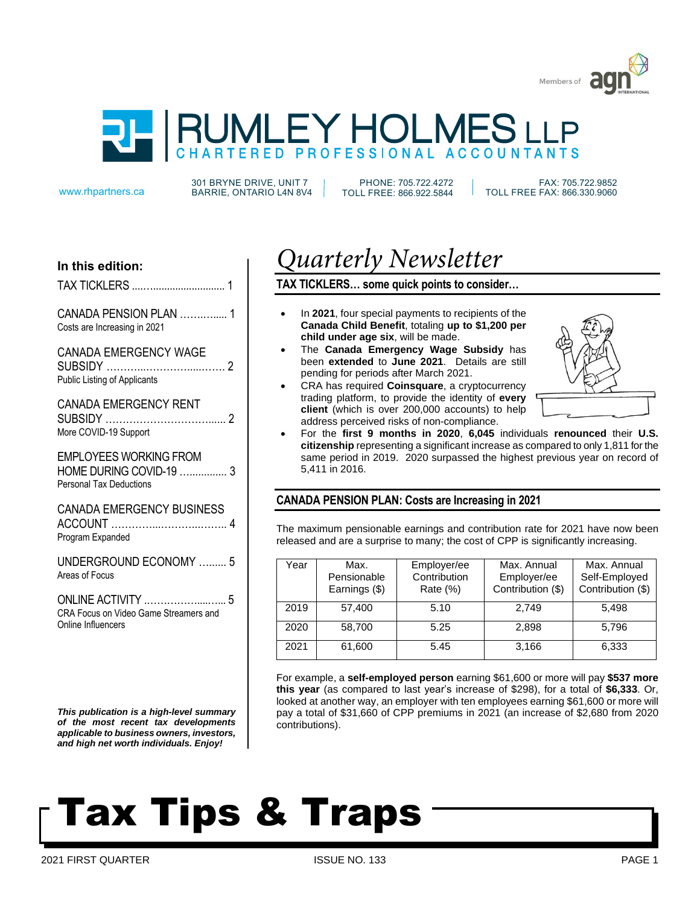



301 BRYNE DRIVE, UNIT 7 www.rhpartners.ca BARRIE, ONTARIO L4N 8V4

PHONE: 705.722.4272 TOLL FREE: 866.922.5844

 FAX: 705.722.9852 TOLL FREE FAX: 866.330.9060

# **In this edition:**

| TAX TICKLERS |  |
|--------------|--|
|              |  |

CANADA PENSION PLAN …….…..... 1 Costs are Increasing in 2021

### CANADA EMERGENCY WAGE

| Public Listing of Applicants |  |
|------------------------------|--|

# CANADA EMERGENCY RENT

| More COVID-19 Support |  |
|-----------------------|--|

EMPLOYEES WORKING FROM

HOME DURING COVID-19 …............. 3 Personal Tax Deductions

CANADA EMERGENCY BUSINESS ACCOUNT …………...………...…….. 4

Program Expanded

UNDERGROUND ECONOMY …...... 5 Areas of Focus

ONLINE ACTIVITY .……………....…... 5 CRA Focus on Video Game Streamers and Online Influencers

*This publication is a high-level summary of the most recent tax developments applicable to business owners, investors, and high net worth individuals. Enjoy!*

# *Quarterly Newsletter*

### **TAX TICKLERS… some quick points to consider…**

- In **2021**, four special payments to recipients of the **Canada Child Benefit**, totaling **up to \$1,200 per child under age six**, will be made.
- The **Canada Emergency Wage Subsidy** has been **extended** to **June 2021**. Details are still pending for periods after March 2021.
- CRA has required **Coinsquare**, a cryptocurrency trading platform, to provide the identity of **every client** (which is over 200,000 accounts) to help address perceived risks of non-compliance.



• For the **first 9 months in 2020**, **6,045** individuals **renounced** their **U.S. citizenship** representing a significant increase as compared to only 1,811 for the same period in 2019. 2020 surpassed the highest previous year on record of 5,411 in 2016.

# **CANADA PENSION PLAN: Costs are Increasing in 2021**

The maximum pensionable earnings and contribution rate for 2021 have now been released and are a surprise to many; the cost of CPP is significantly increasing.

| ∕ear | Max.<br>Pensionable<br>Earnings (\$) | Employer/ee<br>Contribution<br>Rate (%) | Max. Annual<br>Employer/ee<br>Contribution (\$) | Max. Annual<br>Self-Employed<br>Contribution (\$) |
|------|--------------------------------------|-----------------------------------------|-------------------------------------------------|---------------------------------------------------|
| 2019 | 57,400                               | 5.10                                    | 2.749                                           | 5,498                                             |
| 2020 | 58,700                               | 5.25                                    | 2.898                                           | 5,796                                             |
| 2021 | 61,600                               | 5.45                                    | 3,166                                           | 6,333                                             |

For example, a **self-employed person** earning \$61,600 or more will pay **\$537 more this year** (as compared to last year's increase of \$298), for a total of **\$6,333**. Or, looked at another way, an employer with ten employees earning \$61,600 or more will pay a total of \$31,660 of CPP premiums in 2021 (an increase of \$2,680 from 2020 contributions).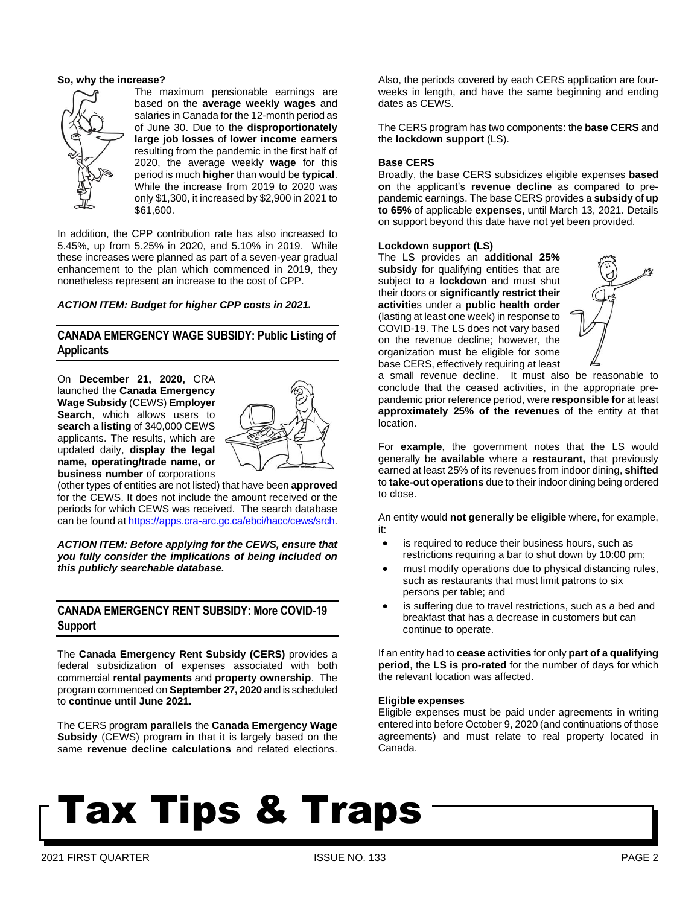#### **So, why the increase?**



The maximum pensionable earnings are based on the **average weekly wages** and salaries in Canada for the 12-month period as of June 30. Due to the **disproportionately large job losses** of **lower income earners** resulting from the pandemic in the first half of 2020, the average weekly **wage** for this period is much **higher** than would be **typical**. While the increase from 2019 to 2020 was only \$1,300, it increased by \$2,900 in 2021 to \$61,600.

In addition, the CPP contribution rate has also increased to 5.45%, up from 5.25% in 2020, and 5.10% in 2019. While these increases were planned as part of a seven-year gradual enhancement to the plan which commenced in 2019, they nonetheless represent an increase to the cost of CPP.

### *ACTION ITEM: Budget for higher CPP costs in 2021.*

# **CANADA EMERGENCY WAGE SUBSIDY: Public Listing of Applicants**

On **December 21, 2020,** CRA launched the **Canada Emergency Wage Subsidy** (CEWS) **Employer Search**, which allows users to **search a listing** of 340,000 CEWS applicants. The results, which are updated daily, **display the legal name, operating/trade name, or business number** of corporations



(other types of entities are not listed) that have been **approved** for the CEWS. It does not include the amount received or the periods for which CEWS was received. The search database can be found at https://apps.cra-arc.gc.ca/ebci/hacc/cews/srch.

*ACTION ITEM: Before applying for the CEWS, ensure that you fully consider the implications of being included on this publicly searchable database.*

# **CANADA EMERGENCY RENT SUBSIDY: More COVID-19 Support**

The **Canada Emergency Rent Subsidy (CERS)** provides a federal subsidization of expenses associated with both commercial **rental payments** and **property ownership**. The program commenced on **September 27, 2020** and is scheduled to **continue until June 2021.**

The CERS program **parallels** the **Canada Emergency Wage Subsidy** (CEWS) program in that it is largely based on the same **revenue decline calculations** and related elections.

Also, the periods covered by each CERS application are fourweeks in length, and have the same beginning and ending dates as CEWS.

The CERS program has two components: the **base CERS** and the **lockdown support** (LS).

#### **Base CERS**

Broadly, the base CERS subsidizes eligible expenses **based on** the applicant's **revenue decline** as compared to prepandemic earnings. The base CERS provides a **subsidy** of **up to 65%** of applicable **expenses**, until March 13, 2021. Details on support beyond this date have not yet been provided.

#### **Lockdown support (LS)**

The LS provides an **additional 25%** subsidy for qualifying entities that are subject to a **lockdown** and must shut their doors or **significantly restrict their activitie**s under a **public health order** (lasting at least one week) in response to COVID-19. The LS does not vary based on the revenue decline; however, the organization must be eligible for some base CERS, effectively requiring at least



a small revenue decline. It must also be reasonable to conclude that the ceased activities, in the appropriate prepandemic prior reference period, were **responsible for** at least **approximately 25% of the revenues** of the entity at that location.

For **example**, the government notes that the LS would generally be **available** where a **restaurant,** that previously earned at least 25% of its revenues from indoor dining, **shifted** to **take-out operations** due to their indoor dining being ordered to close.

An entity would **not generally be eligible** where, for example, it:

- is required to reduce their business hours, such as restrictions requiring a bar to shut down by 10:00 pm;
- must modify operations due to physical distancing rules, such as restaurants that must limit patrons to six persons per table; and
- is suffering due to travel restrictions, such as a bed and breakfast that has a decrease in customers but can continue to operate.

If an entity had to **cease activities** for only **part of a qualifying period**, the **LS is pro-rated** for the number of days for which the relevant location was affected.

#### **Eligible expenses**

Eligible expenses must be paid under agreements in writing entered into before October 9, 2020 (and continuations of those agreements) and must relate to real property located in Canada.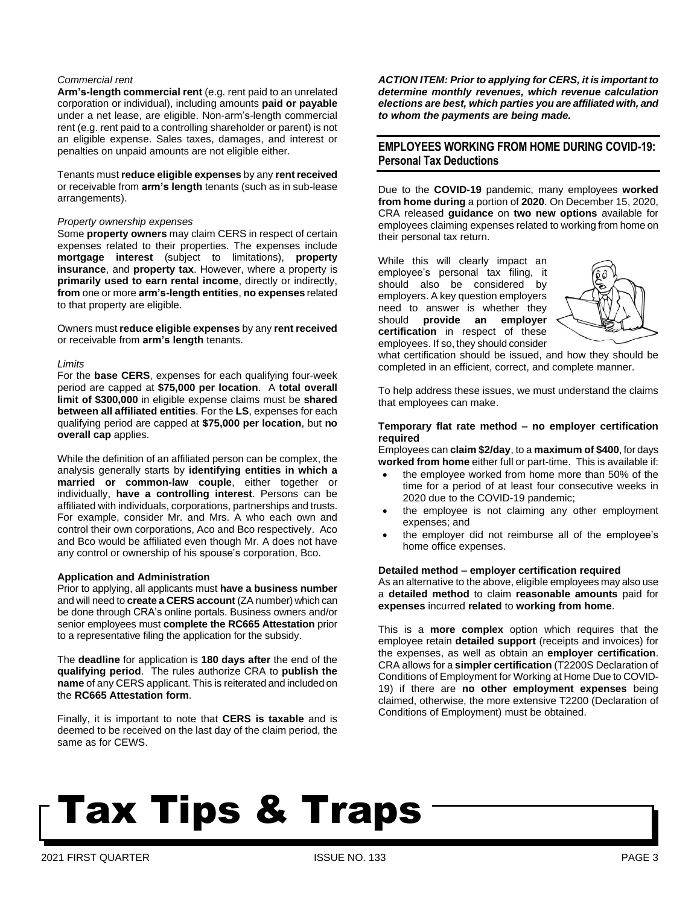#### *Commercial rent*

**Arm's-length commercial rent** (e.g. rent paid to an unrelated corporation or individual), including amounts **paid or payable** under a net lease, are eligible. Non-arm's-length commercial rent (e.g. rent paid to a controlling shareholder or parent) is not an eligible expense. Sales taxes, damages, and interest or penalties on unpaid amounts are not eligible either.

Tenants must **reduce eligible expenses** by any **rentreceived** or receivable from **arm's length** tenants (such as in sub-lease arrangements).

#### *Property ownership expenses*

Some **property owners** may claim CERS in respect of certain expenses related to their properties. The expenses include **mortgage interest** (subject to limitations), **property insurance**, and **property tax**. However, where a property is **primarily used to earn rental income**, directly or indirectly, **from** one or more **arm's-length entities**, **no expenses** related to that property are eligible.

Owners must **reduce eligible expenses** by any **rent received** or receivable from **arm's length** tenants.

#### *Limits*

For the **base CERS**, expenses for each qualifying four-week period are capped at **\$75,000 per location**. A **total overall limit of \$300,000** in eligible expense claims must be **shared between all affiliated entities**. For the **LS**, expenses for each qualifying period are capped at **\$75,000 per location**, but **no overall cap** applies.

While the definition of an affiliated person can be complex, the analysis generally starts by **identifying entities in which a married or common-law couple**, either together or individually, **have a controlling interest**. Persons can be affiliated with individuals, corporations, partnerships and trusts. For example, consider Mr. and Mrs. A who each own and control their own corporations, Aco and Bco respectively. Aco and Bco would be affiliated even though Mr. A does not have any control or ownership of his spouse's corporation, Bco.

#### **Application and Administration**

Prior to applying, all applicants must **have a business number** and will need to **create a CERS account** (ZA number) which can be done through CRA's online portals. Business owners and/or senior employees must **complete the RC665 Attestation** prior to a representative filing the application for the subsidy.

The **deadline** for application is **180 days after** the end of the **qualifying period**. The rules authorize CRA to **publish the name** of any CERS applicant. This is reiterated and included on the **RC665 Attestation form**.

Finally, it is important to note that **CERS is taxable** and is deemed to be received on the last day of the claim period, the same as for CEWS.

*ACTION ITEM: Prior to applying for CERS, it is important to determine monthly revenues, which revenue calculation elections are best, which parties you are affiliated with, and to whom the payments are being made.* 

# **EMPLOYEES WORKING FROM HOME DURING COVID-19: Personal Tax Deductions**

Due to the **COVID-19** pandemic, many employees **worked from home during** a portion of **2020**. On December 15, 2020, CRA released **guidance** on **two new options** available for employees claiming expenses related to working from home on their personal tax return.

While this will clearly impact an employee's personal tax filing, it should also be considered by employers. A key question employers need to answer is whether they should **provide an employer certification** in respect of these employees. If so, they should consider



what certification should be issued, and how they should be completed in an efficient, correct, and complete manner.

To help address these issues, we must understand the claims that employees can make.

#### **Temporary flat rate method – no employer certification required**

Employees can **claim \$2/day**, to a **maximum of \$400**, for days **worked from home** either full or part-time. This is available if:

- the employee worked from home more than 50% of the time for a period of at least four consecutive weeks in 2020 due to the COVID-19 pandemic;
- the employee is not claiming any other employment expenses; and
- the employer did not reimburse all of the employee's home office expenses.

#### **Detailed method – employer certification required**

As an alternative to the above, eligible employees may also use a **detailed method** to claim **reasonable amounts** paid for **expenses** incurred **related** to **working from home**.

This is a **more complex** option which requires that the employee retain **detailed support** (receipts and invoices) for the expenses, as well as obtain an **employer certification**. CRA allows for a **simpler certification** (T2200S Declaration of Conditions of Employment for Working at Home Due to COVID-19) if there are **no other employment expenses** being claimed, otherwise, the more extensive T2200 (Declaration of Conditions of Employment) must be obtained.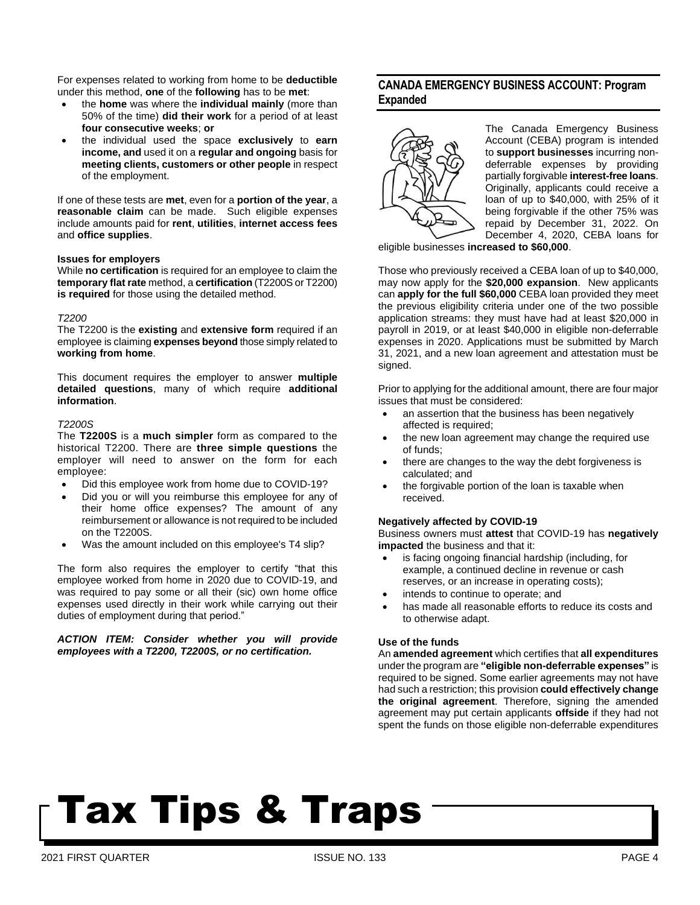For expenses related to working from home to be **deductible** under this method, **one** of the **following** has to be **met**:

- the **home** was where the **individual mainly** (more than 50% of the time) **did their work** for a period of at least **four consecutive weeks**; **or**
- the individual used the space **exclusively** to **earn income, and** used it on a **regular and ongoing** basis for **meeting clients, customers or other people** in respect of the employment.

If one of these tests are **met**, even for a **portion of the year**, a **reasonable claim** can be made. Such eligible expenses include amounts paid for **rent**, **utilities**, **internet access fees** and **office supplies**.

#### **Issues for employers**

While **no certification** is required for an employee to claim the **temporary flat rate** method, a **certification** (T2200S or T2200) **is required** for those using the detailed method.

#### *T2200*

The T2200 is the **existing** and **extensive form** required if an employee is claiming **expenses beyond** those simply related to **working from home**.

This document requires the employer to answer **multiple detailed questions**, many of which require **additional information**.

#### *T2200S*

The **T2200S** is a **much simpler** form as compared to the historical T2200. There are **three simple questions** the employer will need to answer on the form for each employee:

- Did this employee work from home due to COVID-19?
- Did you or will you reimburse this employee for any of their home office expenses? The amount of any reimbursement or allowance is not required to be included on the T2200S.
- Was the amount included on this employee's T4 slip?

The form also requires the employer to certify "that this employee worked from home in 2020 due to COVID-19, and was required to pay some or all their (sic) own home office expenses used directly in their work while carrying out their duties of employment during that period."

*ACTION ITEM: Consider whether you will provide employees with a T2200, T2200S, or no certification.*

# **CANADA EMERGENCY BUSINESS ACCOUNT: Program Expanded**



The Canada Emergency Business Account (CEBA) program is intended to **support businesses** incurring nondeferrable expenses by providing partially forgivable **interest-free loans**. Originally, applicants could receive a loan of up to \$40,000, with 25% of it being forgivable if the other 75% was repaid by December 31, 2022. On December 4, 2020, CEBA loans for

eligible businesses **increased to \$60,000**.

Those who previously received a CEBA loan of up to \$40,000, may now apply for the **\$20,000 expansion**. New applicants can **apply for the full \$60,000** CEBA loan provided they meet the previous eligibility criteria under one of the two possible application streams: they must have had at least \$20,000 in payroll in 2019, or at least \$40,000 in eligible non-deferrable expenses in 2020. Applications must be submitted by March 31, 2021, and a new loan agreement and attestation must be signed.

Prior to applying for the additional amount, there are four major issues that must be considered:

- an assertion that the business has been negatively affected is required;
- the new loan agreement may change the required use of funds;
- there are changes to the way the debt forgiveness is calculated; and
- the forgivable portion of the loan is taxable when received.

#### **Negatively affected by COVID-19**

Business owners must **attest** that COVID-19 has **negatively impacted** the business and that it:

- is facing ongoing financial hardship (including, for example, a continued decline in revenue or cash reserves, or an increase in operating costs);
- intends to continue to operate; and
- has made all reasonable efforts to reduce its costs and to otherwise adapt.

#### **Use of the funds**

An **amended agreement** which certifies that **all expenditures** under the program are **"eligible non-deferrable expenses"** is required to be signed. Some earlier agreements may not have had such a restriction; this provision **could effectively change the original agreement**. Therefore, signing the amended agreement may put certain applicants **offside** if they had not spent the funds on those eligible non-deferrable expenditures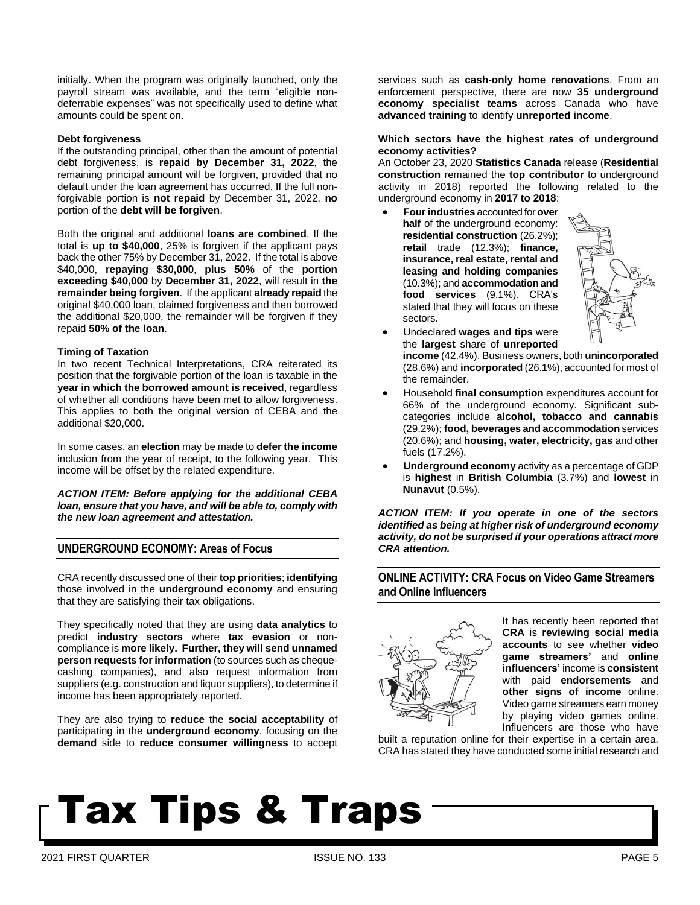initially. When the program was originally launched, only the payroll stream was available, and the term "eligible nondeferrable expenses" was not specifically used to define what amounts could be spent on.

#### **Debt forgiveness**

If the outstanding principal, other than the amount of potential debt forgiveness, is **repaid by December 31, 2022**, the remaining principal amount will be forgiven, provided that no default under the loan agreement has occurred. If the full nonforgivable portion is **not repaid** by December 31, 2022, **no** portion of the **debt will be forgiven**.

Both the original and additional **loans are combined**. If the total is **up to \$40,000**, 25% is forgiven if the applicant pays back the other 75% by December 31, 2022. If the total is above \$40,000, **repaying \$30,000**, **plus 50%** of the **portion exceeding \$40,000** by **December 31, 2022**, will result in **the remainder being forgiven**. If the applicant **already repaid** the original \$40,000 loan, claimed forgiveness and then borrowed the additional \$20,000, the remainder will be forgiven if they repaid **50% of the loan**.

#### **Timing of Taxation**

In two recent Technical Interpretations, CRA reiterated its position that the forgivable portion of the loan is taxable in the **year in which the borrowed amount is received**, regardless of whether all conditions have been met to allow forgiveness. This applies to both the original version of CEBA and the additional \$20,000.

In some cases, an **election** may be made to **defer the income** inclusion from the year of receipt, to the following year. This income will be offset by the related expenditure.

*ACTION ITEM: Before applying for the additional CEBA loan, ensure that you have, and will be able to, comply with the new loan agreement and attestation.*

### **UNDERGROUND ECONOMY: Areas of Focus**

CRA recently discussed one of their **top priorities**; **identifying** those involved in the **underground economy** and ensuring that they are satisfying their tax obligations.

They specifically noted that they are using **data analytics** to predict **industry sectors** where **tax evasion** or noncompliance is **more likely. Further, they will send unnamed person requests for information** (to sources such as chequecashing companies), and also request information from suppliers (e.g. construction and liquor suppliers), to determine if income has been appropriately reported.

They are also trying to **reduce** the **social acceptability** of participating in the **underground economy**, focusing on the **demand** side to **reduce consumer willingness** to accept services such as **cash-only home renovations**. From an enforcement perspective, there are now **35 underground economy specialist teams** across Canada who have **advanced training** to identify **unreported income**.

#### **Which sectors have the highest rates of underground economy activities?**

An October 23, 2020 **Statistics Canada** release (**Residential construction** remained the **top contributor** to underground activity in 2018) reported the following related to the underground economy in **2017 to 2018**:

**Four industries** accounted for over **half** of the underground economy: **residential construction** (26.2%); **retail** trade (12.3%); **finance, insurance, real estate, rental and leasing and holding companies** (10.3%); and **accommodationand food services** (9.1%). CRA's stated that they will focus on these sectors.



- Undeclared **wages and tips** were the **largest** share of **unreported**
	- **income** (42.4%). Business owners, both **unincorporated** (28.6%) and **incorporated** (26.1%), accounted for most of the remainder.
- Household **final consumption** expenditures account for 66% of the underground economy. Significant subcategories include **alcohol, tobacco and cannabis** (29.2%); **food, beverages and accommodation** services (20.6%); and **housing, water, electricity, gas** and other fuels (17.2%).
- **Underground economy** activity as a percentage of GDP is **highest** in **British Columbia** (3.7%) and **lowest** in **Nunavut** (0.5%).

*ACTION ITEM: If you operate in one of the sectors identified as being at higher risk of underground economy activity, do not be surprised if your operations attract more CRA attention.* 

### **ONLINE ACTIVITY: CRA Focus on Video Game Streamers and Online Influencers**



It has recently been reported that **CRA** is **reviewing social media accounts** to see whether **video game streamers'** and **online influencers'** income is **consistent** with paid **endorsements** and **other signs of income** online. Video game streamers earn money by playing video games online. Influencers are those who have

built a reputation online for their expertise in a certain area. CRA has stated they have conducted some initial research and